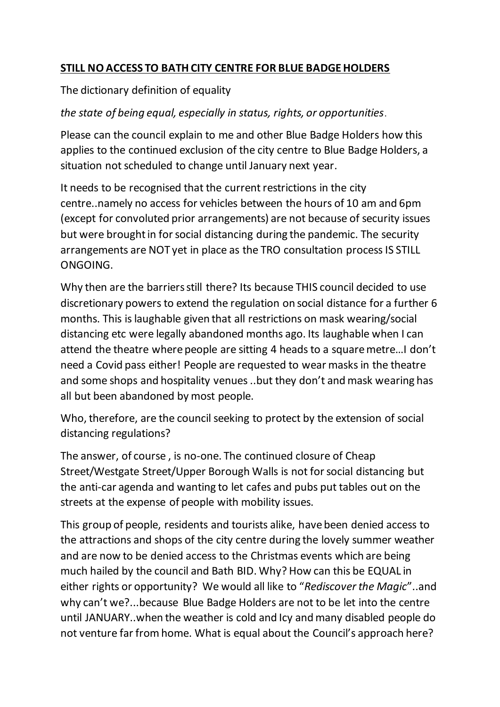## **STILL NO ACCESS TO BATH CITY CENTRE FOR BLUE BADGE HOLDERS**

## The dictionary definition of equality

## *the state of being equal, especially in status, rights, or opportunities*.

Please can the council explain to me and other Blue Badge Holders how this applies to the continued exclusion of the city centre to Blue Badge Holders, a situation not scheduled to change until January next year.

It needs to be recognised that the current restrictions in the city centre..namely no access for vehicles between the hours of 10 am and 6pm (except for convoluted prior arrangements) are not because of security issues but were brought in for social distancing during the pandemic. The security arrangements are NOT yet in place as the TRO consultation process IS STILL ONGOING.

Why then are the barriers still there? Its because THIS council decided to use discretionary powers to extend the regulation on social distance for a further 6 months. This is laughable given that all restrictions on mask wearing/social distancing etc were legally abandoned months ago. Its laughable when I can attend the theatre where people are sitting 4 heads to a square metre…I don't need a Covid pass either! People are requested to wear masks in the theatre and some shops and hospitality venues ..but they don't and mask wearing has all but been abandoned by most people.

Who, therefore, are the council seeking to protect by the extension of social distancing regulations?

The answer, of course , is no-one. The continued closure of Cheap Street/Westgate Street/Upper Borough Walls is not for social distancing but the anti-car agenda and wanting to let cafes and pubs put tables out on the streets at the expense of people with mobility issues.

This group of people, residents and tourists alike, have been denied access to the attractions and shops of the city centre during the lovely summer weather and are now to be denied access to the Christmas events which are being much hailed by the council and Bath BID. Why? How can this be EQUAL in either rights or opportunity? We would all like to "*Rediscover the Magic*"..and why can't we?...because Blue Badge Holders are not to be let into the centre until JANUARY..when the weather is cold and Icy and many disabled people do not venture far from home. What is equal about the Council's approach here?